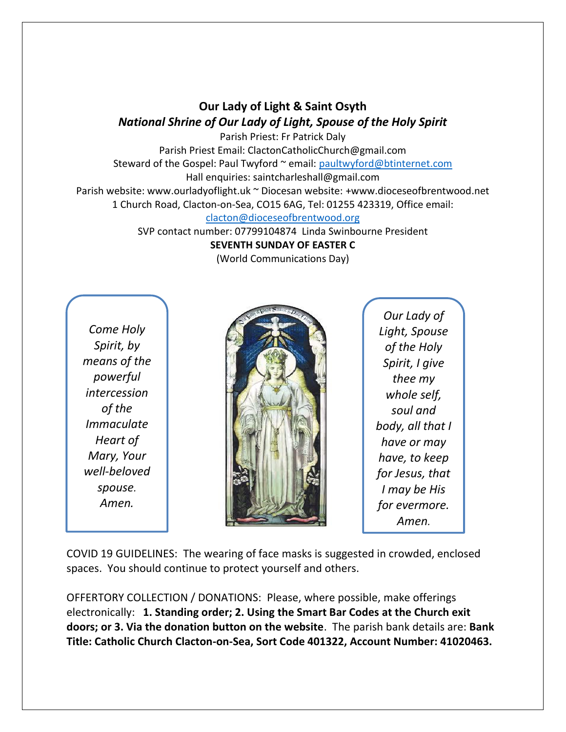## **Our Lady of Light & Saint Osyth** *National Shrine of Our Lady of Light, Spouse of the Holy Spirit*

Parish Priest: Fr Patrick Daly Parish Priest Email: ClactonCatholicChurch@gmail.com Steward of the Gospel: Paul Twyford ~ email: [paultwyford@btinternet.com](mailto:paultwyford@btinternet.com) Hall enquiries: saintcharleshall@gmail.com Parish website: www.ourladyoflight.uk ~ Diocesan website: +www.dioceseofbrentwood.net 1 Church Road, Clacton-on-Sea, CO15 6AG, Tel: 01255 423319, Office email:

[clacton@dioceseofbrentwood.org](mailto:clacton@dioceseofbrentwood.org)

SVP contact number: 07799104874 Linda Swinbourne President

**SEVENTH SUNDAY OF EASTER C**

(World Communications Day)

*Come Holy Spirit, by means of the powerful intercession of the Immaculate Heart of Mary, Your well-beloved spouse. Amen.*



*Our Lady of Light, Spouse of the Holy Spirit, I give thee my whole self, soul and body, all that I have or may have, to keep for Jesus, that I may be His for evermore. Amen.*

COVID 19 GUIDELINES: The wearing of face masks is suggested in crowded, enclosed spaces. You should continue to protect yourself and others.

OFFERTORY COLLECTION / DONATIONS: Please, where possible, make offerings electronically: **1. Standing order; 2. Using the Smart Bar Codes at the Church exit doors; or 3. Via the donation button on the website**. The parish bank details are: **Bank Title: Catholic Church Clacton-on-Sea, Sort Code 401322, Account Number: 41020463.**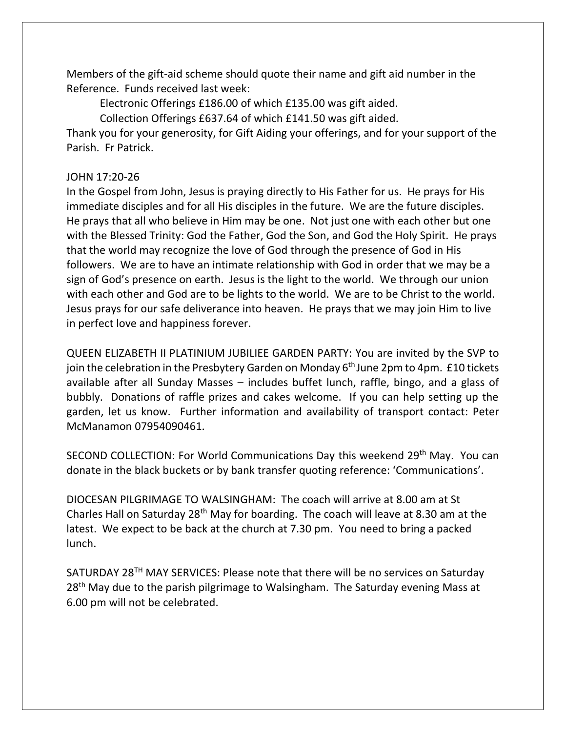Members of the gift-aid scheme should quote their name and gift aid number in the Reference. Funds received last week:

Electronic Offerings £186.00 of which £135.00 was gift aided.

Collection Offerings £637.64 of which £141.50 was gift aided.

Thank you for your generosity, for Gift Aiding your offerings, and for your support of the Parish. Fr Patrick.

## JOHN 17:20-26

In the Gospel from John, Jesus is praying directly to His Father for us. He prays for His immediate disciples and for all His disciples in the future. We are the future disciples. He prays that all who believe in Him may be one. Not just one with each other but one with the Blessed Trinity: God the Father, God the Son, and God the Holy Spirit. He prays that the world may recognize the love of God through the presence of God in His followers. We are to have an intimate relationship with God in order that we may be a sign of God's presence on earth. Jesus is the light to the world. We through our union with each other and God are to be lights to the world. We are to be Christ to the world. Jesus prays for our safe deliverance into heaven. He prays that we may join Him to live in perfect love and happiness forever.

QUEEN ELIZABETH II PLATINIUM JUBILIEE GARDEN PARTY: You are invited by the SVP to join the celebration in the Presbytery Garden on Monday  $6<sup>th</sup>$  June 2pm to 4pm. £10 tickets available after all Sunday Masses – includes buffet lunch, raffle, bingo, and a glass of bubbly. Donations of raffle prizes and cakes welcome. If you can help setting up the garden, let us know. Further information and availability of transport contact: Peter McManamon 07954090461.

SECOND COLLECTION: For World Communications Day this weekend 29<sup>th</sup> May. You can donate in the black buckets or by bank transfer quoting reference: 'Communications'.

DIOCESAN PILGRIMAGE TO WALSINGHAM: The coach will arrive at 8.00 am at St Charles Hall on Saturday 28th May for boarding. The coach will leave at 8.30 am at the latest. We expect to be back at the church at 7.30 pm. You need to bring a packed lunch.

SATURDAY 28<sup>TH</sup> MAY SERVICES: Please note that there will be no services on Saturday 28<sup>th</sup> May due to the parish pilgrimage to Walsingham. The Saturday evening Mass at 6.00 pm will not be celebrated.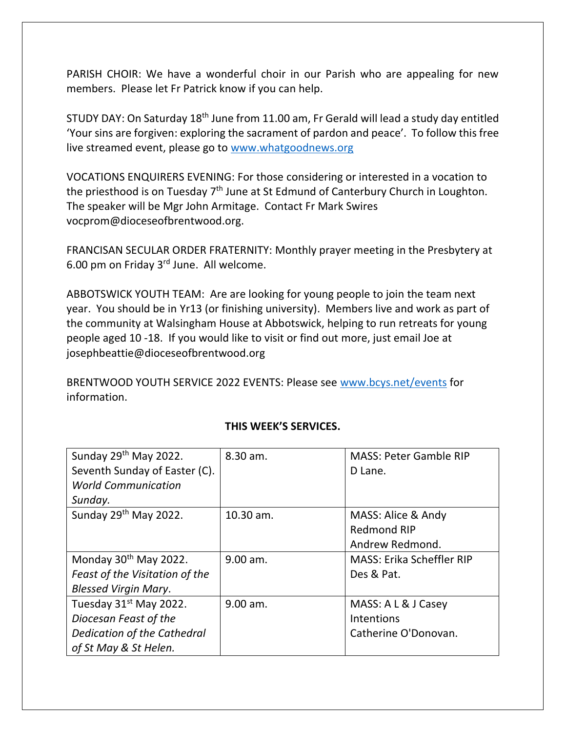PARISH CHOIR: We have a wonderful choir in our Parish who are appealing for new members. Please let Fr Patrick know if you can help.

STUDY DAY: On Saturday 18<sup>th</sup> June from 11.00 am, Fr Gerald will lead a study day entitled 'Your sins are forgiven: exploring the sacrament of pardon and peace'. To follow this free live streamed event, please go to [www.whatgoodnews.org](http://www.whatgoodnews.org/)

VOCATIONS ENQUIRERS EVENING: For those considering or interested in a vocation to the priesthood is on Tuesday  $7<sup>th</sup>$  June at St Edmund of Canterbury Church in Loughton. The speaker will be Mgr John Armitage. Contact Fr Mark Swires vocprom@dioceseofbrentwood.org.

FRANCISAN SECULAR ORDER FRATERNITY: Monthly prayer meeting in the Presbytery at 6.00 pm on Friday 3<sup>rd</sup> June. All welcome.

ABBOTSWICK YOUTH TEAM: Are are looking for young people to join the team next year. You should be in Yr13 (or finishing university). Members live and work as part of the community at Walsingham House at Abbotswick, helping to run retreats for young people aged 10 -18. If you would like to visit or find out more, just email Joe at josephbeattie@dioceseofbrentwood.org

BRENTWOOD YOUTH SERVICE 2022 EVENTS: Please see [www.bcys.net/events](http://www.bcys.net/events) for information.

| Sunday 29 <sup>th</sup> May 2022.  | 8.30 am.   | <b>MASS: Peter Gamble RIP</b>    |
|------------------------------------|------------|----------------------------------|
| Seventh Sunday of Easter (C).      |            | D Lane.                          |
| <b>World Communication</b>         |            |                                  |
| Sunday.                            |            |                                  |
| Sunday 29 <sup>th</sup> May 2022.  | 10.30 am.  | MASS: Alice & Andy               |
|                                    |            | <b>Redmond RIP</b>               |
|                                    |            | Andrew Redmond.                  |
| Monday 30th May 2022.              | $9.00$ am. | <b>MASS: Erika Scheffler RIP</b> |
| Feast of the Visitation of the     |            | Des & Pat.                       |
| <b>Blessed Virgin Mary.</b>        |            |                                  |
| Tuesday 31 <sup>st</sup> May 2022. | 9.00 am.   | MASS: A L & J Casey              |
| Diocesan Feast of the              |            | Intentions                       |
| Dedication of the Cathedral        |            | Catherine O'Donovan.             |
| of St May & St Helen.              |            |                                  |

## **THIS WEEK'S SERVICES.**